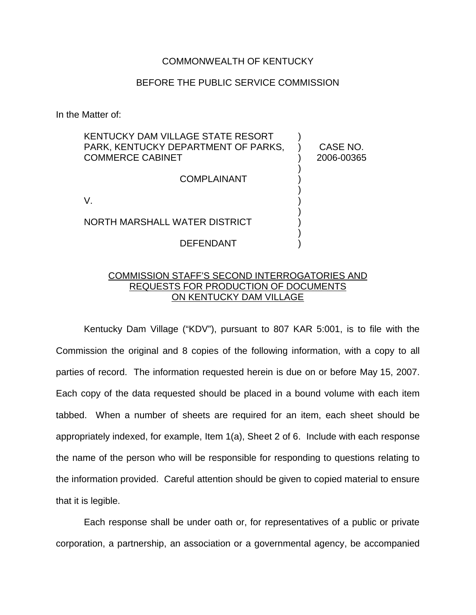## COMMONWEALTH OF KENTUCKY

## BEFORE THE PUBLIC SERVICE COMMISSION

In the Matter of:

| KENTUCKY DAM VILLAGE STATE RESORT<br>PARK, KENTUCKY DEPARTMENT OF PARKS.<br><b>COMMERCE CABINET</b> | CASE NO.<br>2006-00365 |
|-----------------------------------------------------------------------------------------------------|------------------------|
| <b>COMPLAINANT</b>                                                                                  |                        |
|                                                                                                     |                        |
| NORTH MARSHALL WATER DISTRICT                                                                       |                        |
| DEFENDANT                                                                                           |                        |

## COMMISSION STAFF'S SECOND INTERROGATORIES AND REQUESTS FOR PRODUCTION OF DOCUMENTS ON KENTUCKY DAM VILLAGE

Kentucky Dam Village ("KDV"), pursuant to 807 KAR 5:001, is to file with the Commission the original and 8 copies of the following information, with a copy to all parties of record. The information requested herein is due on or before May 15, 2007. Each copy of the data requested should be placed in a bound volume with each item tabbed. When a number of sheets are required for an item, each sheet should be appropriately indexed, for example, Item 1(a), Sheet 2 of 6. Include with each response the name of the person who will be responsible for responding to questions relating to the information provided. Careful attention should be given to copied material to ensure that it is legible.

Each response shall be under oath or, for representatives of a public or private corporation, a partnership, an association or a governmental agency, be accompanied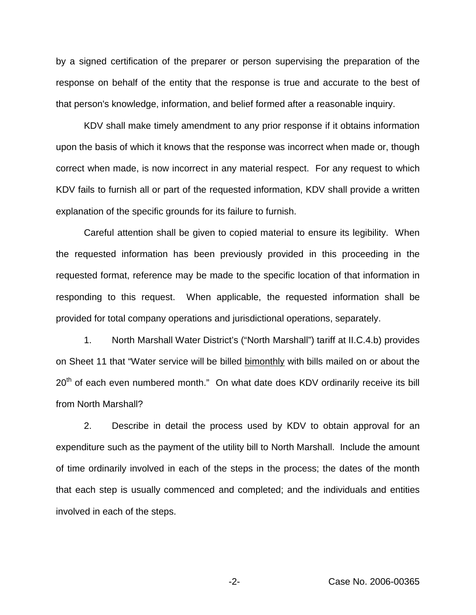by a signed certification of the preparer or person supervising the preparation of the response on behalf of the entity that the response is true and accurate to the best of that person's knowledge, information, and belief formed after a reasonable inquiry.

KDV shall make timely amendment to any prior response if it obtains information upon the basis of which it knows that the response was incorrect when made or, though correct when made, is now incorrect in any material respect. For any request to which KDV fails to furnish all or part of the requested information, KDV shall provide a written explanation of the specific grounds for its failure to furnish.

Careful attention shall be given to copied material to ensure its legibility. When the requested information has been previously provided in this proceeding in the requested format, reference may be made to the specific location of that information in responding to this request. When applicable, the requested information shall be provided for total company operations and jurisdictional operations, separately.

1. North Marshall Water District's ("North Marshall") tariff at II.C.4.b) provides on Sheet 11 that "Water service will be billed bimonthly with bills mailed on or about the  $20<sup>th</sup>$  of each even numbered month." On what date does KDV ordinarily receive its bill from North Marshall?

2. Describe in detail the process used by KDV to obtain approval for an expenditure such as the payment of the utility bill to North Marshall. Include the amount of time ordinarily involved in each of the steps in the process; the dates of the month that each step is usually commenced and completed; and the individuals and entities involved in each of the steps.